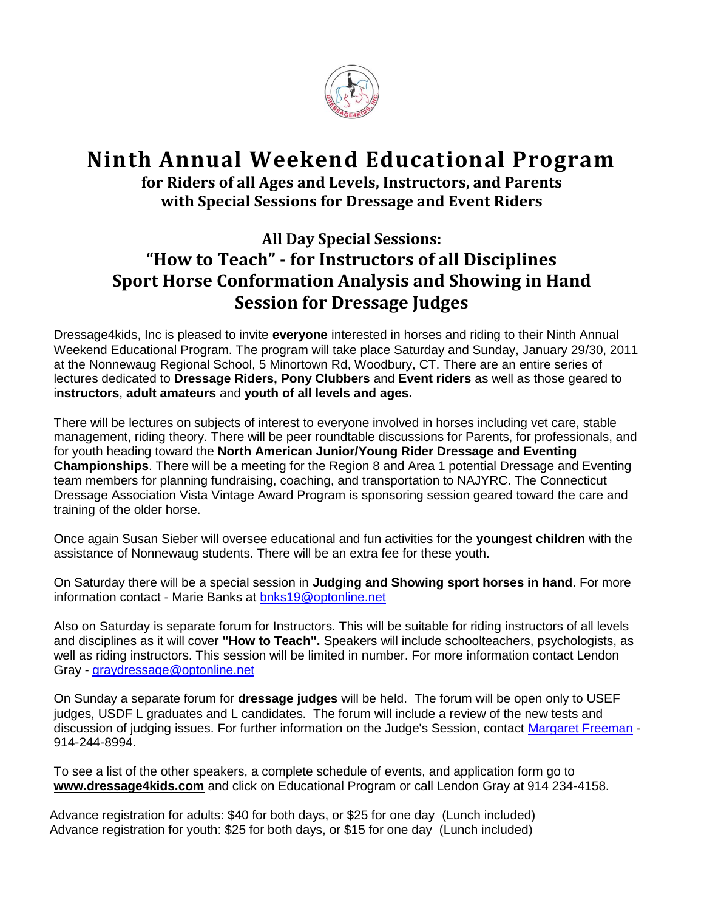

## **Ninth Annual Weekend Educational Program**

**for Riders of all Ages and Levels, Instructors, and Parents with Special Sessions for Dressage and Event Riders**

## **All Day Special Sessions: "How to Teach" - for Instructors of all Disciplines Sport Horse Conformation Analysis and Showing in Hand Session for Dressage Judges**

Dressage4kids, Inc is pleased to invite **everyone** interested in horses and riding to their Ninth Annual Weekend Educational Program. The program will take place Saturday and Sunday, January 29/30, 2011 at the Nonnewaug Regional School, 5 Minortown Rd, Woodbury, CT. There are an entire series of lectures dedicated to **Dressage Riders, Pony Clubbers** and **Event riders** as well as those geared to i**nstructors**, **adult amateurs** and **youth of all levels and ages.** 

There will be lectures on subjects of interest to everyone involved in horses including vet care, stable management, riding theory. There will be peer roundtable discussions for Parents, for professionals, and for youth heading toward the **North American Junior/Young Rider Dressage and Eventing Championships**. There will be a meeting for the Region 8 and Area 1 potential Dressage and Eventing team members for planning fundraising, coaching, and transportation to NAJYRC. The Connecticut Dressage Association Vista Vintage Award Program is sponsoring session geared toward the care and training of the older horse.

Once again Susan Sieber will oversee educational and fun activities for the **youngest children** with the assistance of Nonnewaug students. There will be an extra fee for these youth.

On Saturday there will be a special session in **Judging and Showing sport horses in hand**. For more information contact - Marie Banks at<bnks19@optonline.net>

Also on Saturday is separate forum for Instructors. This will be suitable for riding instructors of all levels and disciplines as it will cover **"How to Teach".** Speakers will include schoolteachers, psychologists, as well as riding instructors. This session will be limited in number. For more information contact Lendon Gray - <graydressage@optonline.net>

On Sunday a separate forum for **dressage judges** will be held. The forum will be open only to USEF judges, USDF L graduates and L candidates. The forum will include a review of the new tests and discussion of judging issues. For further information on the Judge's Session, contact Margaret Freeman - 914-244-8994.

To see a list of the other speakers, a complete schedule of events, and application form go to **[www.dressage4kids.com](http://www.dressage4kids.com/)** and click on Educational Program or call Lendon Gray at 914 234-4158.

Advance registration for adults: \$40 for both days, or \$25 for one day (Lunch included) Advance registration for youth: \$25 for both days, or \$15 for one day (Lunch included)